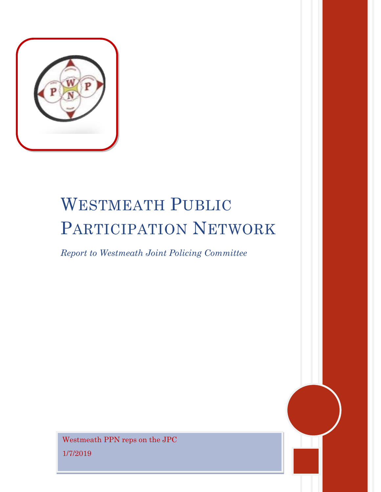

# WESTMEATH PUBLIC PARTICIPATION NETWORK

*Report to Westmeath Joint Policing Committee*

Westmeath PPN reps on the JPC 1/7/2019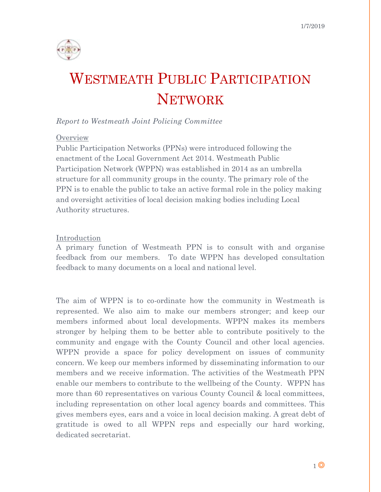

# WESTMEATH PUBLIC PARTICIPATION **NETWORK**

# *Report to Westmeath Joint Policing Committee*

#### **Overview**

Public Participation Networks (PPNs) were introduced following the enactment of the Local Government Act 2014. Westmeath Public Participation Network (WPPN) was established in 2014 as an umbrella structure for all community groups in the county. The primary role of the PPN is to enable the public to take an active formal role in the policy making and oversight activities of local decision making bodies including Local Authority structures.

#### Introduction

A primary function of Westmeath PPN is to consult with and organise feedback from our members. To date WPPN has developed consultation feedback to many documents on a local and national level.

The aim of WPPN is to co-ordinate how the community in Westmeath is represented. We also aim to make our members stronger; and keep our members informed about local developments. WPPN makes its members stronger by helping them to be better able to contribute positively to the community and engage with the County Council and other local agencies. WPPN provide a space for policy development on issues of community concern. We keep our members informed by disseminating information to our members and we receive information. The activities of the Westmeath PPN enable our members to contribute to the wellbeing of the County. WPPN has more than 60 representatives on various County Council & local committees, including representation on other local agency boards and committees. This gives members eyes, ears and a voice in local decision making. A great debt of gratitude is owed to all WPPN reps and especially our hard working, dedicated secretariat.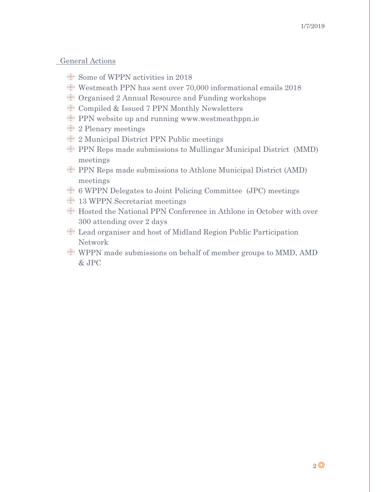#### General Actions

- Some of WPPN activities in 2018
- Westmeath PPN has sent over 70,000 informational emails 2018
- Organised 2 Annual Resource and Funding workshops
- Compiled & Issued 7 PPN Monthly Newsletters
- PPN website up and running [www.westmeathppn.ie](http://www.westmeathppn.ie/)
- <sup>1</sup> 2 Plenary meetings
- 2 Municipal District PPN Public meetings
- PPN Reps made submissions to Mullingar Municipal District (MMD) meetings
- PPN Reps made submissions to Athlone Municipal District (AMD) meetings
- 6 WPPN Delegates to Joint Policing Committee (JPC) meetings
- <sup>1</sup> 13 WPPN Secretariat meetings
- Hosted the National PPN Conference in Athlone in October with over 300 attending over 2 days
- Lead organiser and host of Midland Region Public Participation Network
- WPPN made submissions on behalf of member groups to MMD, AMD & JPC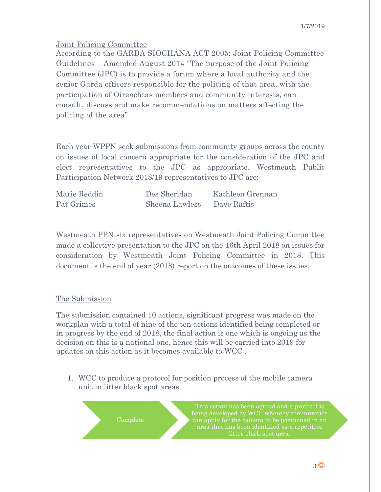# Joint Policing Committee

According to the GARDA SÍOCHÁNA ACT 2005: Joint Policing Committee Guidelines – Amended August 2014 "The purpose of the Joint Policing Committee (JPC) is to provide a forum where a local authority and the senior Garda officers responsible for the policing of that area, with the participation of Oireachtas members and community interests, can consult, discuss and make recommendations on matters affecting the policing of the area".

Each year WPPN seek submissions from community groups across the county on issues of local concern appropriate for the consideration of the JPC and elect representatives to the JPC as appropriate. Westmeath Public Participation Network 2018/19 representatives to JPC are:

| Marie Reddin | Des Sheridan   | Kathleen Grennan |
|--------------|----------------|------------------|
| Pat Grimes   | Sheena Lawless | Dave Raftis      |

Westmeath PPN six representatives on Westmeath Joint Policing Committee made a collective presentation to the JPC on the 16th April 2018 on issues for consideration by Westmeath Joint Policing Committee in 2018. This document is the end of year (2018) report on the outcomes of these issues.

### The Submission

The submission contained 10 actions, significant progress was made on the workplan with a total of nine of the ten actions identified being completed or in progress by the end of 2018, the final action is one which is ongoing as the decision on this is a national one, hence this will be carried into 2019 for updates on this action as it becomes available to WCC .

1. WCC to produce a protocol for position process of the mobile camera unit in litter black spot areas.

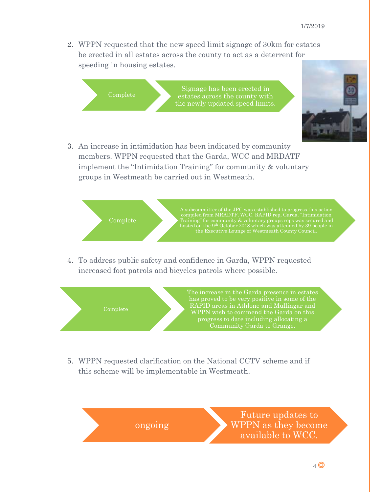2. WPPN requested that the new speed limit signage of 30km for estates be erected in all estates across the county to act as a deterrent for speeding in housing estates.

Complete Signage has been erected in estates across the county with the newly updated speed limits.



3. An increase in intimidation has been indicated by community members. WPPN requested that the Garda, WCC and MRDATF implement the "Intimidation Training" for community & voluntary groups in Westmeath be carried out in Westmeath.



4. To address public safety and confidence in Garda, WPPN requested increased foot patrols and bicycles patrols where possible.



5. WPPN requested clarification on the National CCTV scheme and if this scheme will be implementable in Westmeath.

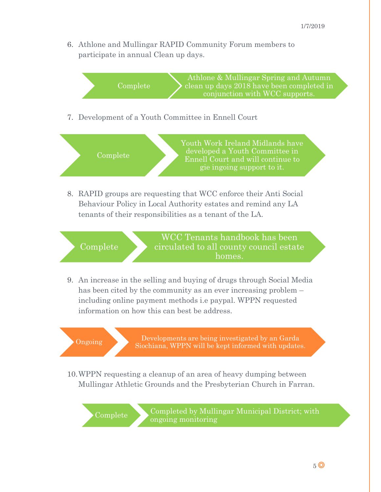6. Athlone and Mullingar RAPID Community Forum members to participate in annual Clean up days.

Complete Athlone & Mullingar Spring and Autumn clean up days 2018 have been completed in conjunction with WCC supports.

7. Development of a Youth Committee in Ennell Court



8. RAPID groups are requesting that WCC enforce their Anti Social Behaviour Policy in Local Authority estates and remind any LA tenants of their responsibilities as a tenant of the LA.



9. An increase in the selling and buying of drugs through Social Media has been cited by the community as an ever increasing problem – including online payment methods i.e paypal. WPPN requested information on how this can best be address.

Ongoing Developments are being investigated by an Garda Siochiana, WPPN will be kept informed with updates.

10.WPPN requesting a cleanup of an area of heavy dumping between Mullingar Athletic Grounds and the Presbyterian Church in Farran.

Complete Completed by Mullingar Municipal District; with ongoing monitoring